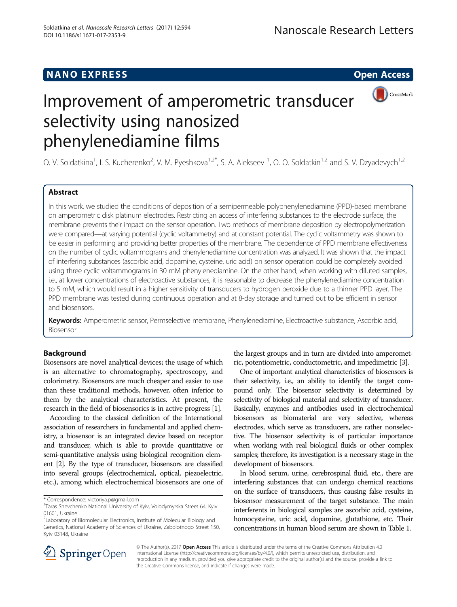# <span id="page-0-0"></span>**NANO EXPRESS** Open Access and the set of the set of the set of the set of the set of the set of the set of the set of the set of the set of the set of the set of the set of the set of the set of the set of the set of the



O. V. Soldatkina<sup>1</sup>, I. S. Kucherenko<sup>2</sup>, V. M. Pyeshkova<sup>1,2\*</sup>, S. A. Alekseev <sup>1</sup>, O. O. Soldatkin<sup>1,2</sup> and S. V. Dzyadevych<sup>1,2</sup>

# Abstract

In this work, we studied the conditions of deposition of a semipermeable polyphenylenediamine (PPD)-based membrane on amperometric disk platinum electrodes. Restricting an access of interfering substances to the electrode surface, the membrane prevents their impact on the sensor operation. Two methods of membrane deposition by electropolymerization were compared—at varying potential (cyclic voltammetry) and at constant potential. The cyclic voltammetry was shown to be easier in performing and providing better properties of the membrane. The dependence of PPD membrane effectiveness on the number of cyclic voltammograms and phenylenediamine concentration was analyzed. It was shown that the impact of interfering substances (ascorbic acid, dopamine, cysteine, uric acid) on sensor operation could be completely avoided using three cyclic voltammograms in 30 mM phenylenediamine. On the other hand, when working with diluted samples, i.e., at lower concentrations of electroactive substances, it is reasonable to decrease the phenylenediamine concentration to 5 mM, which would result in a higher sensitivity of transducers to hydrogen peroxide due to a thinner PPD layer. The PPD membrane was tested during continuous operation and at 8-day storage and turned out to be efficient in sensor and biosensors.

Keywords: Amperometric sensor, Permselective membrane, Phenylenediamine, Electroactive substance, Ascorbic acid, Biosensor

### Background

Biosensors are novel analytical devices; the usage of which is an alternative to chromatography, spectroscopy, and colorimetry. Biosensors are much cheaper and easier to use than these traditional methods, however, often inferior to them by the analytical characteristics. At present, the research in the field of biosensorics is in active progress [\[1\]](#page-6-0).

According to the classical definition of the International association of researchers in fundamental and applied chemistry, a biosensor is an integrated device based on receptor and transducer, which is able to provide quantitative or semi-quantitative analysis using biological recognition element [\[2](#page-6-0)]. By the type of transducer, biosensors are classified into several groups (electrochemical, optical, piezoelectric, etc.), among which electrochemical biosensors are one of the largest groups and in turn are divided into amperometric, potentiometric, conductometric, and impedimetric [[3](#page-6-0)].

One of important analytical characteristics of biosensors is their selectivity, i.e., an ability to identify the target compound only. The biosensor selectivity is determined by selectivity of biological material and selectivity of transducer. Basically, enzymes and antibodies used in electrochemical biosensors as biomaterial are very selective, whereas electrodes, which serve as transducers, are rather nonselective. The biosensor selectivity is of particular importance when working with real biological fluids or other complex samples; therefore, its investigation is a necessary stage in the development of biosensors.

In blood serum, urine, cerebrospinal fluid, etc., there are interfering substances that can undergo chemical reactions on the surface of transducers, thus causing false results in biosensor measurement of the target substance. The main interferents in biological samples are ascorbic acid, cysteine, homocysteine, uric acid, dopamine, glutathione, etc. Their concentrations in human blood serum are shown in Table [1.](#page-1-0)



© The Author(s). 2017 Open Access This article is distributed under the terms of the Creative Commons Attribution 4.0 International License ([http://creativecommons.org/licenses/by/4.0/\)](http://creativecommons.org/licenses/by/4.0/), which permits unrestricted use, distribution, and reproduction in any medium, provided you give appropriate credit to the original author(s) and the source, provide a link to the Creative Commons license, and indicate if changes were made.

<sup>\*</sup> Correspondence: [victoriya.p@gmail.com](mailto:victoriya.p@gmail.com) <sup>1</sup>

Taras Shevchenko National University of Kyiv, Volodymyrska Street 64, Kyiv 01601, Ukraine

<sup>&</sup>lt;sup>2</sup> Laboratory of Biomolecular Electronics, Institute of Molecular Biology and Genetics, National Academy of Sciences of Ukraine, Zabolotnogo Street 150, Kyiv 03148, Ukraine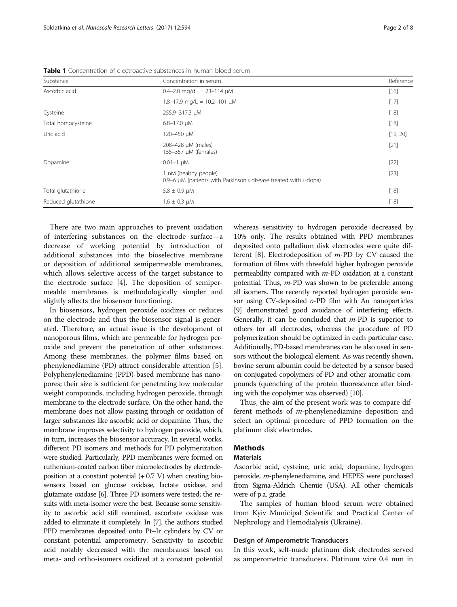| Substance           | Concentration in serum                                                                  | Reference |
|---------------------|-----------------------------------------------------------------------------------------|-----------|
| Ascorbic acid       | $0.4 - 2.0$ mg/dL = 23-114 $\mu$ M                                                      | $[16]$    |
|                     | $1.8 - 17.9$ mg/L = $10.2 - 101$ µM                                                     | [17]      |
| Cysteine            | 255.9-317.3 µM                                                                          | $[18]$    |
| Total homocysteine  | $6.8 - 17.0 \mu M$                                                                      | $[18]$    |
| Uric acid           | 120-450 µM                                                                              | [19, 20]  |
|                     | 208-428 µM (males)<br>155-357 µM (females)                                              | $[21]$    |
| Dopamine            | $0.01 - 1 \mu M$                                                                        | $[22]$    |
|                     | nM (healthy people)<br>0.9-6 µM (patients with Parkinson's disease treated with L-dopa) | $[23]$    |
| Total glutathione   | $5.8 \pm 0.9 \mu M$                                                                     | $[18]$    |
| Reduced glutathione | $1.6 \pm 0.3 \mu M$                                                                     | $[18]$    |

<span id="page-1-0"></span>Table 1 Concentration of electroactive substances in human blood serum

There are two main approaches to prevent oxidation of interfering substances on the electrode surface—a decrease of working potential by introduction of additional substances into the bioselective membrane or deposition of additional semipermeable membranes, which allows selective access of the target substance to the electrode surface [[4\]](#page-6-0). The deposition of semipermeable membranes is methodologically simpler and slightly affects the biosensor functioning.

In biosensors, hydrogen peroxide oxidizes or reduces on the electrode and thus the biosensor signal is generated. Therefore, an actual issue is the development of nanoporous films, which are permeable for hydrogen peroxide and prevent the penetration of other substances. Among these membranes, the polymer films based on phenylenediamine (PD) attract considerable attention [[5](#page-6-0)]. Polyphenylenediamine (PPD)-based membrane has nanopores; their size is sufficient for penetrating low molecular weight compounds, including hydrogen peroxide, through membrane to the electrode surface. On the other hand, the membrane does not allow passing through or oxidation of larger substances like ascorbic acid or dopamine. Thus, the membrane improves selectivity to hydrogen peroxide, which, in turn, increases the biosensor accuracy. In several works, different PD isomers and methods for PD polymerization were studied. Particularly, PPD membranes were formed on ruthenium-coated carbon fiber microelectrodes by electrodeposition at a constant potential  $(+ 0.7 \text{ V})$  when creating biosensors based on glucose oxidase, lactate oxidase, and glutamate oxidase [\[6\]](#page-6-0). Three PD isomers were tested; the results with meta-isomer were the best. Because some sensitivity to ascorbic acid still remained, ascorbate oxidase was added to eliminate it completely. In [\[7\]](#page-6-0), the authors studied PPD membranes deposited onto Pt–Ir cylinders by CV or constant potential amperometry. Sensitivity to ascorbic acid notably decreased with the membranes based on meta- and ortho-isomers oxidized at a constant potential

whereas sensitivity to hydrogen peroxide decreased by 10% only. The results obtained with PPD membranes deposited onto palladium disk electrodes were quite different [\[8](#page-6-0)]. Electrodeposition of m-PD by CV caused the formation of films with threefold higher hydrogen peroxide permeability compared with  $m$ -PD oxidation at a constant potential. Thus,  $m$ -PD was shown to be preferable among all isomers. The recently reported hydrogen peroxide sensor using CV-deposited o-PD film with Au nanoparticles [[9](#page-6-0)] demonstrated good avoidance of interfering effects. Generally, it can be concluded that  $m$ -PD is superior to others for all electrodes, whereas the procedure of PD polymerization should be optimized in each particular case. Additionally, PD-based membranes can be also used in sensors without the biological element. As was recently shown, bovine serum albumin could be detected by a sensor based on conjugated copolymers of PD and other aromatic compounds (quenching of the protein fluorescence after binding with the copolymer was observed) [\[10\]](#page-6-0).

Thus, the aim of the present work was to compare different methods of m-phenylenediamine deposition and select an optimal procedure of PPD formation on the platinum disk electrodes.

## **Methods**

### **Materials**

Ascorbic acid, cysteine, uric acid, dopamine, hydrogen peroxide, m-phenylenediamine, and HEPES were purchased from Sigma-Aldrich Chemie (USA). All other chemicals were of p.a. grade.

The samples of human blood serum were obtained from Kyiv Municipal Scientific and Practical Center of Nephrology and Hemodialysis (Ukraine).

### Design of Amperometric Transducers

In this work, self-made platinum disk electrodes served as amperometric transducers. Platinum wire 0.4 mm in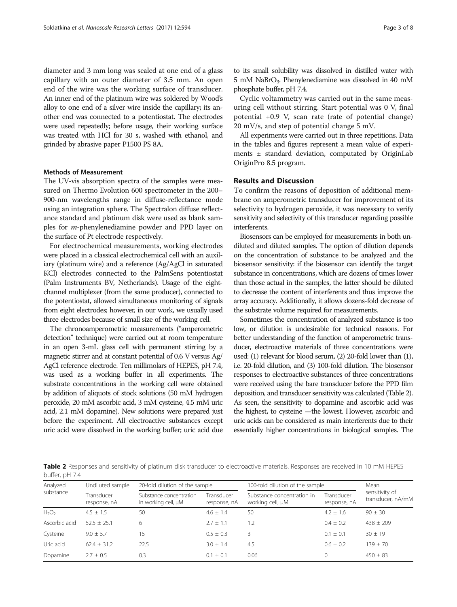diameter and 3 mm long was sealed at one end of a glass capillary with an outer diameter of 3.5 mm. An open end of the wire was the working surface of transducer. An inner end of the platinum wire was soldered by Wood's alloy to one end of a silver wire inside the capillary; its another end was connected to a potentiostat. The electrodes were used repeatedly; before usage, their working surface was treated with HCl for 30 s, washed with ethanol, and grinded by abrasive paper P1500 PS 8A.

### Methods of Measurement

The UV-vis absorption spectra of the samples were measured on Thermo Evolution 600 spectrometer in the 200– 900-nm wavelengths range in diffuse-reflectance mode using an integration sphere. The Spectralon diffuse reflectance standard and platinum disk were used as blank samples for m-phenylenediamine powder and PPD layer on the surface of Pt electrode respectively.

For electrochemical measurements, working electrodes were placed in a classical electrochemical cell with an auxiliary (platinum wire) and a reference (Ag/AgCl in saturated KCl) electrodes connected to the PalmSens potentiostat (Palm Instruments BV, Netherlands). Usage of the eightchannel multiplexer (from the same producer), connected to the potentiostat, allowed simultaneous monitoring of signals from eight electrodes; however, in our work, we usually used three electrodes because of small size of the working cell.

The chronoamperometric measurements ("amperometric detection" technique) were carried out at room temperature in an open 3-mL glass cell with permanent stirring by a magnetic stirrer and at constant potential of 0.6 V versus Ag/ AgCl reference electrode. Ten millimolars of HEPES, pH 7.4, was used as a working buffer in all experiments. The substrate concentrations in the working cell were obtained by addition of aliquots of stock solutions (50 mM hydrogen peroxide, 20 mM ascorbic acid, 3 mM cysteine, 4.5 mM uric acid, 2.1 mM dopamine). New solutions were prepared just before the experiment. All electroactive substances except uric acid were dissolved in the working buffer; uric acid due

to its small solubility was dissolved in distilled water with 5 mM NaBrO<sub>3</sub>. Phenylenediamine was dissolved in 40 mM phosphate buffer, pH 7.4.

Cyclic voltammetry was carried out in the same measuring cell without stirring. Start potential was 0 V, final potential +0.9 V, scan rate (rate of potential change) 20 mV/s, and step of potential change 5 mV.

All experiments were carried out in three repetitions. Data in the tables and figures represent a mean value of experiments ± standard deviation, computated by OriginLab OriginPro 8.5 program.

### Results and Discussion

To confirm the reasons of deposition of additional membrane on amperometric transducer for improvement of its selectivity to hydrogen peroxide, it was necessary to verify sensitivity and selectivity of this transducer regarding possible interferents.

Biosensors can be employed for measurements in both undiluted and diluted samples. The option of dilution depends on the concentration of substance to be analyzed and the biosensor sensitivity: if the biosensor can identify the target substance in concentrations, which are dozens of times lower than those actual in the samples, the latter should be diluted to decrease the content of interferents and thus improve the array accuracy. Additionally, it allows dozens-fold decrease of the substrate volume required for measurements.

Sometimes the concentration of analyzed substance is too low, or dilution is undesirable for technical reasons. For better understanding of the function of amperometric transducer, electroactive materials of three concentrations were used: (1) relevant for blood serum, (2) 20-fold lower than (1), i.e. 20-fold dilution, and (3) 100-fold dilution. The biosensor responses to electroactive substances of three concentrations were received using the bare transducer before the PPD film deposition, and transducer sensitivity was calculated (Table 2). As seen, the sensitivity to dopamine and ascorbic acid was the highest, to cysteine —the lowest. However, ascorbic and uric acids can be considered as main interferents due to their essentially higher concentrations in biological samples. The

Table 2 Responses and sensitivity of platinum disk transducer to electroactive materials. Responses are received in 10 mM HEPES buffer, pH 7.4

| Analyzed      | Undiluted sample           | 20-fold dilution of the sample                 |                            | 100-fold dilution of the sample                | Mean                       |                                     |
|---------------|----------------------------|------------------------------------------------|----------------------------|------------------------------------------------|----------------------------|-------------------------------------|
| substance     | Transducer<br>response, nA | Substance concentration<br>in working cell, µM | Transducer<br>response, nA | Substance concentration in<br>working cell, µM | Transducer<br>response, nA | sensitivity of<br>transducer, nA/mM |
| $H_2O_2$      | $4.5 \pm 1.5$              | 50                                             | $4.6 + 1.4$                | 50                                             | $4.2 \pm 1.6$              | $90 + 30$                           |
| Ascorbic acid | $52.5 + 25.1$              | 6                                              | $2.7 + 1.1$                | 1.2                                            | $0.4 + 0.2$                | $438 \pm 209$                       |
| Cysteine      | $9.0 \pm 5.7$              | 15                                             | $0.5 + 0.3$                |                                                | $0.1 \pm 0.1$              | $30 + 19$                           |
| Uric acid     | $62.4 + 31.2$              | 22.5                                           | $3.0 + 1.4$                | 4.5                                            | $0.6 \pm 0.2$              | $139 + 70$                          |
| Dopamine      | $2.7 \pm 0.5$              | 0.3                                            | $0.1 \pm 0.1$              | 0.06                                           |                            | $450 \pm 83$                        |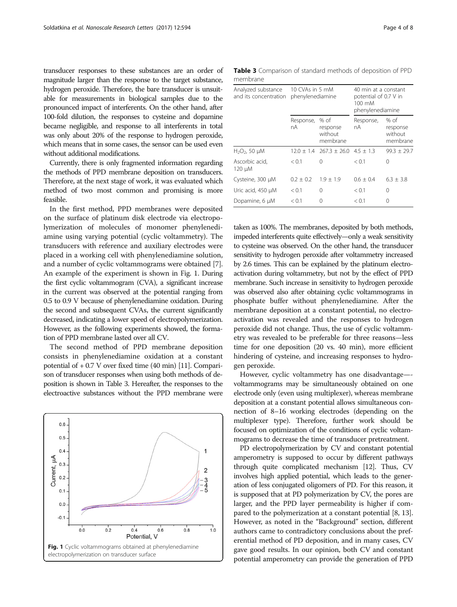transducer responses to these substances are an order of magnitude larger than the response to the target substance, hydrogen peroxide. Therefore, the bare transducer is unsuitable for measurements in biological samples due to the pronounced impact of interferents. On the other hand, after 100-fold dilution, the responses to cysteine and dopamine became negligible, and response to all interferents in total was only about 20% of the response to hydrogen peroxide, which means that in some cases, the sensor can be used even without additional modifications.

Currently, there is only fragmented information regarding the methods of PPD membrane deposition on transducers. Therefore, at the next stage of work, it was evaluated which method of two most common and promising is more feasible.

In the first method, PPD membranes were deposited on the surface of platinum disk electrode via electropolymerization of molecules of monomer phenylenediamine using varying potential (cyclic voltammetry). The transducers with reference and auxiliary electrodes were placed in a working cell with phenylenediamine solution, and a number of cyclic voltammograms were obtained [[7](#page-6-0)]. An example of the experiment is shown in Fig. 1. During the first cyclic voltammogram (CVA), a significant increase in the current was observed at the potential ranging from 0.5 to 0.9 V because of phenylenediamine oxidation. During the second and subsequent CVAs, the current significantly decreased, indicating a lower speed of electropolymerization. However, as the following experiments showed, the formation of PPD membrane lasted over all CV.

The second method of PPD membrane deposition consists in phenylenediamine oxidation at a constant potential of + 0.7 V over fixed time (40 min) [\[11\]](#page-6-0). Comparison of transducer responses when using both methods of deposition is shown in Table 3. Hereafter, the responses to the electroactive substances without the PPD membrane were



Table 3 Comparison of standard methods of deposition of PPD membrane

| Analyzed substance<br>and its concentration | 10 CVAs in 5 mM<br>phenylenediamine |                                         | 40 min at a constant<br>potential of 0.7 V in<br>$100 \text{ mM}$<br>phenylenediamine |                                           |  |
|---------------------------------------------|-------------------------------------|-----------------------------------------|---------------------------------------------------------------------------------------|-------------------------------------------|--|
|                                             | Response,<br>nA                     | % of<br>response<br>without<br>membrane | Response,<br>nA                                                                       | $%$ of<br>response<br>without<br>membrane |  |
| $H_2O_2$ , 50 $\mu$ M                       |                                     | $12.0 + 1.4$ $267.3 + 26.0$ $4.5 + 1.3$ |                                                                                       | $99.3 + 29.7$                             |  |
| Ascorbic acid,<br>120 µM                    | < 0.1                               | 0                                       | < 0.1                                                                                 | 0                                         |  |
| Cysteine, 300 µM                            | $0.2 + 0.2$                         | $1.9 + 1.9$                             | $0.6 + 0.4$                                                                           | $6.3 + 3.8$                               |  |
| Uric acid, 450 µM                           | < 0.1                               | 0                                       | < 0.1                                                                                 | $\Omega$                                  |  |
| Dopamine, 6 µM                              | < 0.1                               | 0                                       | < 0.1                                                                                 | 0                                         |  |

taken as 100%. The membranes, deposited by both methods, impeded interferents quite effectively—only a weak sensitivity to cysteine was observed. On the other hand, the transducer sensitivity to hydrogen peroxide after voltammetry increased by 2.6 times. This can be explained by the platinum electroactivation during voltammetry, but not by the effect of PPD membrane. Such increase in sensitivity to hydrogen peroxide was observed also after obtaining cyclic voltammograms in phosphate buffer without phenylenediamine. After the membrane deposition at a constant potential, no electroactivation was revealed and the responses to hydrogen peroxide did not change. Thus, the use of cyclic voltammetry was revealed to be preferable for three reasons—less time for one deposition (20 vs. 40 min), more efficient hindering of cysteine, and increasing responses to hydrogen peroxide.

However, cyclic voltammetry has one disadvantage— voltammograms may be simultaneously obtained on one electrode only (even using multiplexer), whereas membrane deposition at a constant potential allows simultaneous connection of 8–16 working electrodes (depending on the multiplexer type). Therefore, further work should be focused on optimization of the conditions of cyclic voltammograms to decrease the time of transducer pretreatment.

PD electropolymerization by CV and constant potential amperometry is supposed to occur by different pathways through quite complicated mechanism [\[12\]](#page-6-0). Thus, CV involves high applied potential, which leads to the generation of less conjugated oligomers of PD. For this reason, it is supposed that at PD polymerization by CV, the pores are larger, and the PPD layer permeability is higher if compared to the polymerization at a constant potential [\[8, 13](#page-6-0)]. However, as noted in the "[Background](#page-0-0)" section, different authors came to contradictory conclusions about the preferential method of PD deposition, and in many cases, CV gave good results. In our opinion, both CV and constant potential amperometry can provide the generation of PPD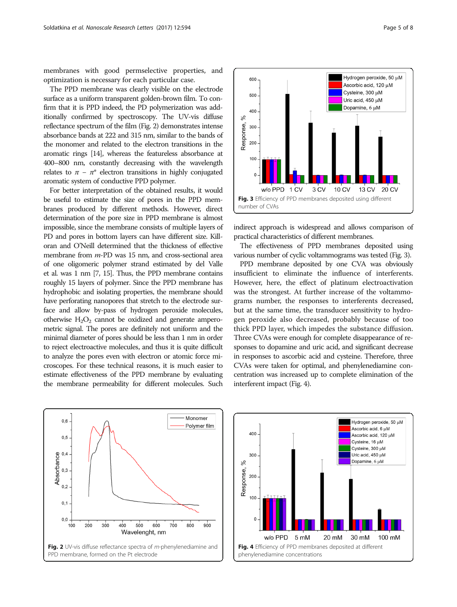membranes with good permselective properties, and optimization is necessary for each particular case.

The PPD membrane was clearly visible on the electrode surface as a uniform transparent golden-brown film. To confirm that it is PPD indeed, the PD polymerization was additionally confirmed by spectroscopy. The UV-vis diffuse reflectance spectrum of the film (Fig. 2) demonstrates intense absorbance bands at 222 and 315 nm, similar to the bands of the monomer and related to the electron transitions in the aromatic rings [\[14](#page-6-0)], whereas the featureless absorbance at 400–800 nm, constantly decreasing with the wavelength relates to  $\pi - \pi^*$  electron transitions in highly conjugated aromatic system of conductive PPD polymer.

For better interpretation of the obtained results, it would be useful to estimate the size of pores in the PPD membranes produced by different methods. However, direct determination of the pore size in PPD membrane is almost impossible, since the membrane consists of multiple layers of PD and pores in bottom layers can have different size. Killoran and O'Neill determined that the thickness of effective membrane from *m*-PD was 15 nm, and cross-sectional area of one oligomeric polymer strand estimated by del Valle et al. was 1 nm [\[7, 15](#page-6-0)]. Thus, the PPD membrane contains roughly 15 layers of polymer. Since the PPD membrane has hydrophobic and isolating properties, the membrane should have perforating nanopores that stretch to the electrode surface and allow by-pass of hydrogen peroxide molecules, otherwise  $H_2O_2$  cannot be oxidized and generate amperometric signal. The pores are definitely not uniform and the minimal diameter of pores should be less than 1 nm in order to reject electroactive molecules, and thus it is quite difficult to analyze the pores even with electron or atomic force microscopes. For these technical reasons, it is much easier to estimate effectiveness of the PPD membrane by evaluating the membrane permeability for different molecules. Such

Ascorbic acid, 120 µM Cysteine, 300 µM 500 Uric acid. 450 uM Dopamine, 6 µM 400  $\approx$ Response, 300 200 100 w/o PPD 1 CV 3 CV 10 CV 13 CV 20 CV Fig. 3 Efficiency of PPD membranes deposited using different number of CVAs

600

indirect approach is widespread and allows comparison of practical characteristics of different membranes.

The effectiveness of PPD membranes deposited using various number of cyclic voltammograms was tested (Fig. 3).

PPD membrane deposited by one CVA was obviously insufficient to eliminate the influence of interferents. However, here, the effect of platinum electroactivation was the strongest. At further increase of the voltammograms number, the responses to interferents decreased, but at the same time, the transducer sensitivity to hydrogen peroxide also decreased, probably because of too thick PPD layer, which impedes the substance diffusion. Three CVAs were enough for complete disappearance of responses to dopamine and uric acid, and significant decrease in responses to ascorbic acid and cysteine. Therefore, three CVAs were taken for optimal, and phenylenediamine concentration was increased up to complete elimination of the interferent impact (Fig. 4).





Hydrogen peroxide, 50 µM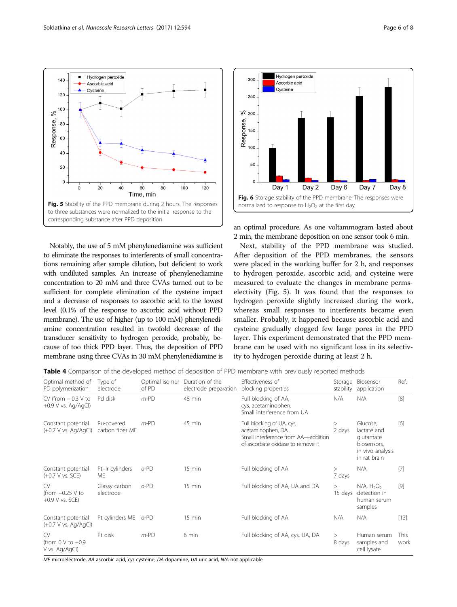Hydrogen peroxide

Ascorbic acid

Cysteine

<span id="page-5-0"></span> $140$ 

120

100  $\aleph$ 

80

60

40

 $20$  $\mathbf 0$ 

Response.

Notably, the use of 5 mM phenylenediamine was sufficient to eliminate the responses to interferents of small concentrations remaining after sample dilution, but deficient to work with undiluted samples. An increase of phenylenediamine concentration to 20 mM and three CVAs turned out to be sufficient for complete elimination of the cysteine impact and a decrease of responses to ascorbic acid to the lowest level (0.1% of the response to ascorbic acid without PPD membrane). The use of higher (up to 100 mM) phenylenediamine concentration resulted in twofold decrease of the transducer sensitivity to hydrogen peroxide, probably, because of too thick PPD layer. Thus, the deposition of PPD membrane using three CVAs in 30 mM phenylenediamine is

Fig. 5 Stability of the PPD membrane during 2 hours. The responses to three substances were normalized to the initial response to the

 $60$ 

Time, min

 $80$ 

 $100$ 

 $120$ 

 $40$ 

corresponding substance after PPD deposition

 $\overline{20}$ 

 $\Omega$ 



Hydrogen peroxide

an optimal procedure. As one voltammogram lasted about 2 min, the membrane deposition on one sensor took 6 min.

Next, stability of the PPD membrane was studied. After deposition of the PPD membranes, the sensors were placed in the working buffer for 2 h, and responses to hydrogen peroxide, ascorbic acid, and cysteine were measured to evaluate the changes in membrane permselectivity (Fig. 5). It was found that the responses to hydrogen peroxide slightly increased during the work, whereas small responses to interferents became even smaller. Probably, it happened because ascorbic acid and cysteine gradually clogged few large pores in the PPD layer. This experiment demonstrated that the PPD membrane can be used with no significant loss in its selectivity to hydrogen peroxide during at least 2 h.

Table 4 Comparison of the developed method of deposition of PPD membrane with previously reported methods

| Optimal method of<br>PD polymerization           | Type of<br>electrode          | Optimal isomer<br>of PD | Duration of the<br>electrode preparation | Effectiveness of<br>blocking properties                                                                                     | Storage<br>stability | Biosensor<br>application                                                                | Ref.                |
|--------------------------------------------------|-------------------------------|-------------------------|------------------------------------------|-----------------------------------------------------------------------------------------------------------------------------|----------------------|-----------------------------------------------------------------------------------------|---------------------|
| CV (from $-0.3$ V to<br>$+0.9$ V vs. Ag/AgCl)    | Pd disk                       | $m$ -PD                 | 48 min                                   | Full blocking of AA,<br>cys, acetaminophen.<br>Small interference from UA                                                   | N/A                  | N/A                                                                                     | [8]                 |
| Constant potential<br>$(+0.7 V vs. Ag/AgCl)$     | Ru-covered<br>carbon fiber ME | $m$ -PD                 | 45 min                                   | Full blocking of UA, cys,<br>acetaminophen, DA.<br>Small interference from AA-addition<br>of ascorbate oxidase to remove it | ><br>2 days          | Glucose,<br>lactate and<br>glutamate<br>biosensors,<br>in vivo analysis<br>in rat brain | [6]                 |
| Constant potential<br>$(+0.7 V vs. SCE)$         | Pt-Ir cylinders<br>ME         | o-PD                    | $15 \text{ min}$                         | Full blocking of AA                                                                                                         | ><br>7 days          | N/A                                                                                     | $[7]$               |
| CV<br>(from $-0.25$ V to<br>$+0.9$ V vs. SCE)    | Glassy carbon<br>electrode    | o-PD                    | $15 \text{ min}$                         | Full blocking of AA, UA and DA                                                                                              | ><br>15 days         | N/A, H <sub>2</sub> O <sub>2</sub><br>detection in<br>human serum<br>samples            | [9]                 |
| Constant potential<br>(+0.7 V vs. Ag/AgCl)       | Pt cylinders ME               | o-PD                    | $15 \text{ min}$                         | Full blocking of AA                                                                                                         | N/A                  | N/A                                                                                     | $[13]$              |
| CV<br>(from $0 \vee$ to $+0.9$<br>V vs. Ag/AgCl) | Pt disk                       | $m$ -PD                 | 6 min                                    | Full blocking of AA, cys, UA, DA                                                                                            | ><br>8 days          | Human serum<br>samples and<br>cell lysate                                               | <b>This</b><br>work |

ME microelectrode, AA ascorbic acid, cys cysteine, DA dopamine, UA uric acid, N/A not applicable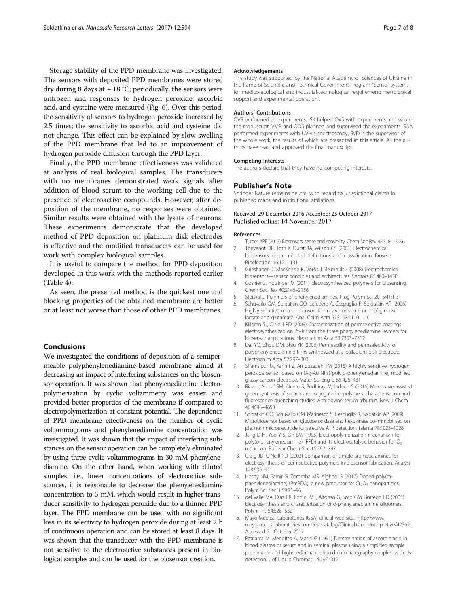<span id="page-6-0"></span>Storage stability of the PPD membrane was investigated. The sensors with deposited PPD membranes were stored dry during 8 days at  $-18$  °C; periodically, the sensors were unfrozen and responses to hydrogen peroxide, ascorbic acid, and cysteine were measured (Fig. [6\)](#page-5-0). Over this period, the sensitivity of sensors to hydrogen peroxide increased by 2.5 times; the sensitivity to ascorbic acid and cysteine did not change. This effect can be explained by slow swelling of the PPD membrane that led to an improvement of hydrogen peroxide diffusion through the PPD layer.

Finally, the PPD membrane effectiveness was validated at analysis of real biological samples. The transducers with no membranes demonstrated weak signals after addition of blood serum to the working cell due to the presence of electroactive compounds. However, after deposition of the membrane, no responses were obtained. Similar results were obtained with the lysate of neurons. These experiments demonstrate that the developed method of PPD deposition on platinum disk electrodes is effective and the modified transducers can be used for work with complex biological samples.

It is useful to compare the method for PPD deposition developed in this work with the methods reported earlier (Table [4\)](#page-5-0).

As seen, the presented method is the quickest one and blocking properties of the obtained membrane are better or at least not worse than those of other PPD membranes.

### Conclusions

We investigated the conditions of deposition of a semipermeable polyphenylenediamine-based membrane aimed at decreasing an impact of interfering substances on the biosensor operation. It was shown that phenylenediamine electropolymerization by cyclic voltammetry was easier and provided better properties of the membrane if compared to electropolymerization at constant potential. The dependence of PPD membrane effectiveness on the number of cyclic voltammograms and phenylenediamine concentration was investigated. It was shown that the impact of interfering substances on the sensor operation can be completely eliminated by using three cyclic voltammograms in 30 mM phenylenediamine. On the other hand, when working with diluted samples, i.e., lower concentrations of electroactive substances, it is reasonable to decrease the phenylenediamine concentration to 5 mM, which would result in higher transducer sensitivity to hydrogen peroxide due to a thinner PPD layer. The PPD membrane can be used with no significant loss in its selectivity to hydrogen peroxide during at least 2 h of continuous operation and can be stored at least 8 days. It was shown that the transducer with the PPD membrane is not sensitive to the electroactive substances present in biological samples and can be used for the biosensor creation.

#### Acknowledgements

This study was supported by the National Academy of Sciences of Ukraine in the frame of Scientific and Technical Government Program "Sensor systems for medico-ecological and industrial-technological requirement: metrological support and experimental operation".

#### Authors' Contributions

OVS performed all experiments. ISK helped OVS with experiments and wrote the manuscript. VMP and OOS planned and supervised the experiments. SAA performed experiments with UV-vis spectroscopy. SVD is the supervisor of the whole work, the results of which are presented in this article. All the authors have read and approved the final manuscript.

#### Competing Interests

The authors declare that they have no competing interests.

#### Publisher's Note

Springer Nature remains neutral with regard to jurisdictional claims in published maps and institutional affiliations.

### Received: 29 December 2016 Accepted: 25 October 2017 Published online: 14 November 2017

#### References

- Turner APF (2013) Biosensors: sense and sensibility. Chem Soc Rev 42:3184-3196
- 2. Thévenot DR, Toth K, Durst RA, Wilson GS (2001) Electrochemical biosensors: recommended definitions and classification. Biosens Bioelectron 16:121–131
- 3. Grieshaber D, MacKenzie R, Vörös J, Reimhult E (2008) Electrochemical biosensors—sensor principles and architectures. Sensors 8:1400–1458
- 4. Cosnier S, Holzinger M (2011) Electrosynthesized polymers for biosensing. Chem Soc Rev 40:2146–2156
- 5. Stejskal J. Polymers of phenylenediamines. Prog Polym Sci 2015;41;1-31
- 6. Schuvailo OM, Soldatkin OO, Lefebvre A, Cespuglio R, Soldatkin AP (2006) Highly selective microbiosensors for in vivo measurement of glucose, lactate and glutamate. Anal Chim Acta 573–574:110–116
- 7. Killoran SJ, O'Neill RD (2008) Characterization of permselective coatings electrosynthesized on Pt–Ir from the three phenylenediamine isomers for biosensor applications. Electrochim Acta 53:7303–7312
- 8. Dai YQ, Zhou DM, Shiu KK (2006) Permeability and permselectivity of polyphenylenediamine films synthesized at a palladium disk electrode. Electrochim Acta 52:297–303
- 9. Shamsipur M, Karimi Z, Amouzadeh TM (2015) A highly sensitive hydrogen peroxide sensor based on (Ag-Au NPs)/poly[o-phenylenediamine] modified glassy carbon electrode. Mater Sci Eng C 56:426–431
- 10. Riaz U, Ashraf SM, Aleem S, Budhiraja V, Jadoun S (2016) Microwave-assisted green synthesis of some nanoconjugated copolymers: characterisation and fluorescence quenching studies with bovine serum albumin. New J Chem 40:4643–4653
- 11. Soldatkin OO, Schuvailo OM, Marinesco S, Cespuglio R, Soldatkin AP (2009) Microbiosensor based on glucose oxidase and hexokinase co-immobilised on platinum microelectrode for selective ATP detection. Talanta 78:1023–1028
- 12. Jang D-H, Yoo Y-S, Oh SM (1995) Electropolymerization mechanism for poly(o-phenylenediamine) (PPD) and its electrocatalytic behavior for O<sub>2</sub> reduction. Bull Kor Chem Soc 16:392–397
- 13. Craig JD, O'Neill RD (2003) Comparison of simple aromatic amines for electrosynthesis of permselective polymers in biosensor fabrication. Analyst 128:905–911
- 14. Hosny NM, Samir G, Zoromba MS, Alghool S (2017) Doped poly(mphenylenediamine) (PmPDA): a new precursor for  $Cr_2O_3$  nanoparticles. Polym Sci, Ser B 59:91–96
- 15. del Valle MA, Díaz FR, Bodini ME, Alfonso G, Soto GM, Borrego ED (2005) Electrosynthesis and characterization of o-phenylenediamine oligomers. Polym Int 54:526–532
- 16. Mayo Medical Laboratories (USA) official web-site. [http://www.](http://www.mayomedicallaboratories.com/test-catalog/Clinical+and+Interpretive/42362) [mayomedicallaboratories.com/test-catalog/Clinical+and+Interpretive/42362](http://www.mayomedicallaboratories.com/test-catalog/Clinical+and+Interpretive/42362) . Accessed 31 October 2017
- 17. Patriarca M, Menditto A, Morisi G (1991) Determination of ascorbic acid in blood plasma or serum and in seminal plasma using a simplified sample preparation and high-performance liquid chromatography coupled with Uv detection. J of Liquid Chromat 14:297–312